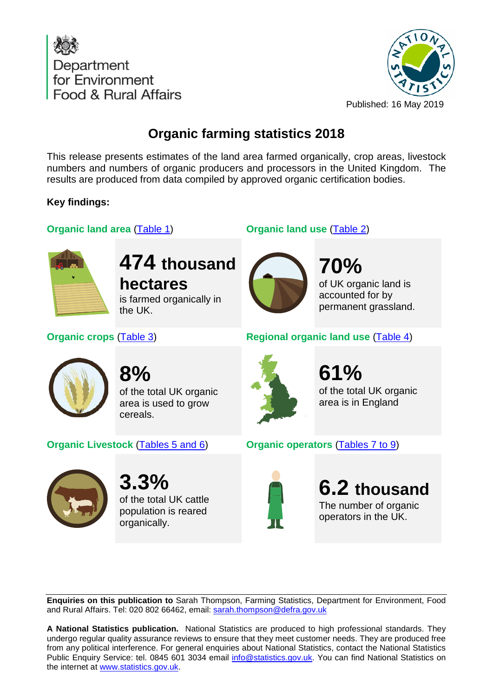



## **Organic farming statistics 2018**

This release presents estimates of the land area farmed organically, crop areas, livestock numbers and numbers of organic producers and processors in the United Kingdom. The results are produced from data compiled by approved organic certification bodies.

## **Key findings:**

## **Organic land area** [\(Table 1\)](#page-4-0) **Organic land use** [\(Table 2\)](#page-4-1)



# **474 thousand hectares**

is farmed organically in the UK.



**70%** of UK organic land is accounted for by permanent grassland.





**8%** of the total UK organic area is used to grow cereals.

**Organic Livestock** [\(Tables 5 and 6\)](#page-6-1) **Organic operators** [\(Tables 7 to 9\)](#page-8-0)



**3.3%** of the total UK cattle population is reared organically.



**61%** of the total UK organic area is in England



**6.2 thousand** The number of organic operators in the UK.

**Enquiries on this publication to** Sarah Thompson, Farming Statistics, Department for Environment, Food and Rural Affairs. Tel: 020 802 66462, email: [sarah.thompson@defra.gov.uk](mailto:sarah.thompson@defra.gov.uk)

**A National Statistics publication.** National Statistics are produced to high professional standards. They undergo regular quality assurance reviews to ensure that they meet customer needs. They are produced free from any political interference. For general enquiries about National Statistics, contact the National Statistics Public Enquiry Service: tel. 0845 601 3034 email [info@statistics.gov.uk.](mailto:info@statistics.gov.uk) You can find National Statistics on the internet at [www.statistics.gov.uk.](http://www.statistics.gov.uk/hub/index.html)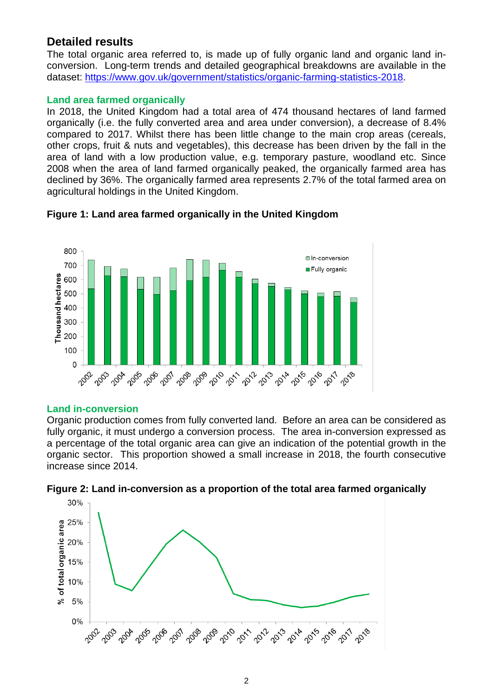## **Detailed results**

The total organic area referred to, is made up of fully organic land and organic land inconversion. Long-term trends and detailed geographical breakdowns are available in the dataset: [https://www.gov.uk/government/statistics/organic-farming-statistics-2018.](https://www.gov.uk/government/statistics/organic-farming-statistics-2018)

## **Land area farmed organically**

In 2018, the United Kingdom had a total area of 474 thousand hectares of land farmed organically (i.e. the fully converted area and area under conversion), a decrease of 8.4% compared to 2017. Whilst there has been little change to the main crop areas (cereals, other crops, fruit & nuts and vegetables), this decrease has been driven by the fall in the area of land with a low production value, e.g. temporary pasture, woodland etc. Since 2008 when the area of land farmed organically peaked, the organically farmed area has declined by 36%. The organically farmed area represents 2.7% of the total farmed area on agricultural holdings in the United Kingdom.



## **Figure 1: Land area farmed organically in the United Kingdom**

## **Land in-conversion**

Organic production comes from fully converted land. Before an area can be considered as fully organic, it must undergo a conversion process. The area in-conversion expressed as a percentage of the total organic area can give an indication of the potential growth in the organic sector. This proportion showed a small increase in 2018, the fourth consecutive increase since 2014.



**Figure 2: Land in-conversion as a proportion of the total area farmed organically**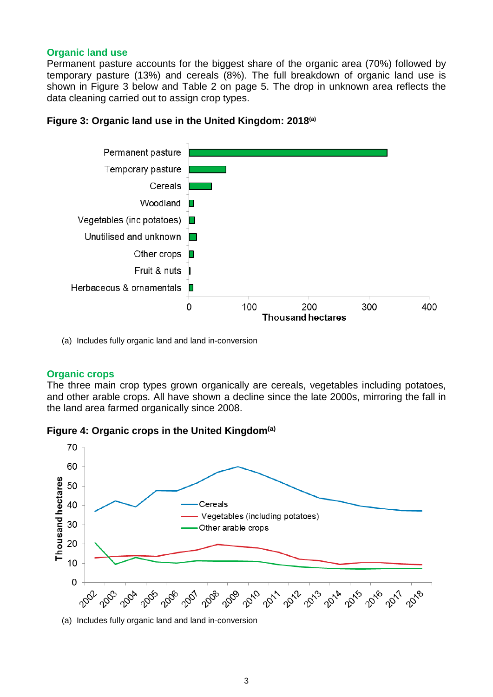## **Organic land use**

Permanent pasture accounts for the biggest share of the organic area (70%) followed by temporary pasture (13%) and cereals (8%). The full breakdown of organic land use is shown in Figure 3 below and Table 2 on page 5. The drop in unknown area reflects the data cleaning carried out to assign crop types.

## **Figure 3: Organic land use in the United Kingdom: 2018(a)**



(a) Includes fully organic land and land in-conversion

## **Organic crops**

The three main crop types grown organically are cereals, vegetables including potatoes, and other arable crops. All have shown a decline since the late 2000s, mirroring the fall in the land area farmed organically since 2008.





(a) Includes fully organic land and land in-conversion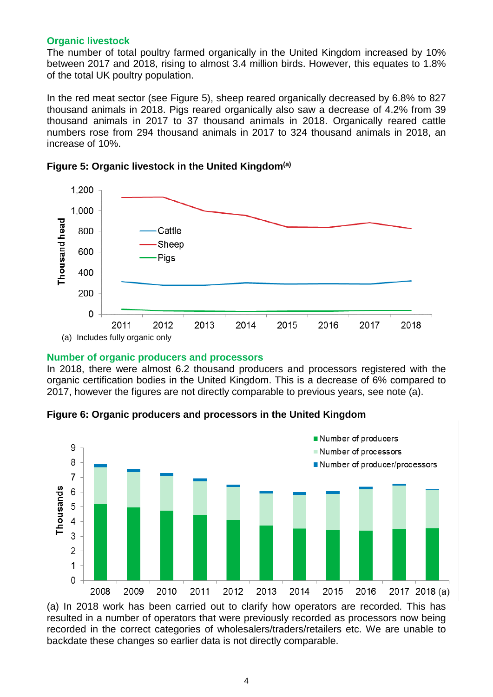#### **Organic livestock**

The number of total poultry farmed organically in the United Kingdom increased by 10% between 2017 and 2018, rising to almost 3.4 million birds. However, this equates to 1.8% of the total UK poultry population.

In the red meat sector (see Figure 5), sheep reared organically decreased by 6.8% to 827 thousand animals in 2018. Pigs reared organically also saw a decrease of 4.2% from 39 thousand animals in 2017 to 37 thousand animals in 2018. Organically reared cattle numbers rose from 294 thousand animals in 2017 to 324 thousand animals in 2018, an increase of 10%.



## **Figure 5: Organic livestock in the United Kingdom(a)**

#### **Number of organic producers and processors**

In 2018, there were almost 6.2 thousand producers and processors registered with the organic certification bodies in the United Kingdom. This is a decrease of 6% compared to 2017, however the figures are not directly comparable to previous years, see note (a).





(a) In 2018 work has been carried out to clarify how operators are recorded. This has resulted in a number of operators that were previously recorded as processors now being recorded in the correct categories of wholesalers/traders/retailers etc. We are unable to backdate these changes so earlier data is not directly comparable.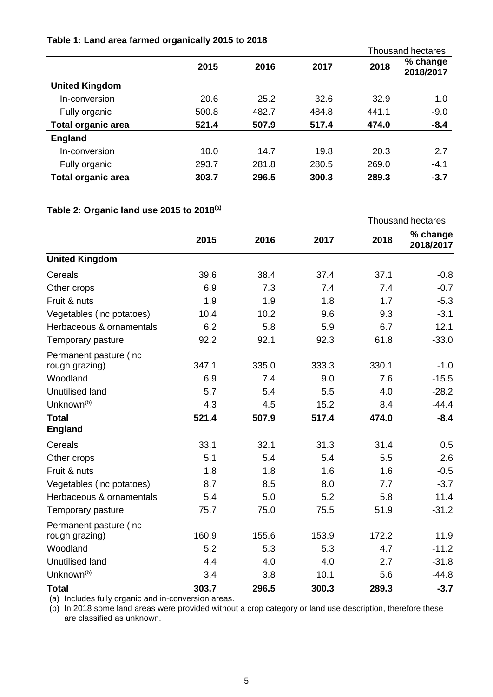## <span id="page-4-0"></span>**Table 1: Land area farmed organically 2015 to 2018**

|                           |       |       |       |       | <b>Thousand hectares</b> |
|---------------------------|-------|-------|-------|-------|--------------------------|
|                           | 2015  | 2016  | 2017  | 2018  | % change<br>2018/2017    |
| <b>United Kingdom</b>     |       |       |       |       |                          |
| In-conversion             | 20.6  | 25.2  | 32.6  | 32.9  | 1.0                      |
| Fully organic             | 500.8 | 482.7 | 484.8 | 441.1 | $-9.0$                   |
| <b>Total organic area</b> | 521.4 | 507.9 | 517.4 | 474.0 | $-8.4$                   |
| <b>England</b>            |       |       |       |       |                          |
| In-conversion             | 10.0  | 14.7  | 19.8  | 20.3  | 2.7                      |
| Fully organic             | 293.7 | 281.8 | 280.5 | 269.0 | $-4.1$                   |
| <b>Total organic area</b> | 303.7 | 296.5 | 300.3 | 289.3 | $-3.7$                   |

## <span id="page-4-1"></span>**Table 2: Organic land use 2015 to 2018(a)**

|                           |       |       |       | <b>Thousand hectares</b> |                       |
|---------------------------|-------|-------|-------|--------------------------|-----------------------|
|                           | 2015  | 2016  | 2017  | 2018                     | % change<br>2018/2017 |
| <b>United Kingdom</b>     |       |       |       |                          |                       |
| Cereals                   | 39.6  | 38.4  | 37.4  | 37.1                     | $-0.8$                |
| Other crops               | 6.9   | 7.3   | 7.4   | 7.4                      | $-0.7$                |
| Fruit & nuts              | 1.9   | 1.9   | 1.8   | 1.7                      | $-5.3$                |
| Vegetables (inc potatoes) | 10.4  | 10.2  | 9.6   | 9.3                      | $-3.1$                |
| Herbaceous & ornamentals  | 6.2   | 5.8   | 5.9   | 6.7                      | 12.1                  |
| Temporary pasture         | 92.2  | 92.1  | 92.3  | 61.8                     | $-33.0$               |
| Permanent pasture (inc    |       |       |       |                          |                       |
| rough grazing)            | 347.1 | 335.0 | 333.3 | 330.1                    | $-1.0$                |
| Woodland                  | 6.9   | 7.4   | 9.0   | 7.6                      | $-15.5$               |
| <b>Unutilised land</b>    | 5.7   | 5.4   | 5.5   | 4.0                      | $-28.2$               |
| Unknown <sup>(b)</sup>    | 4.3   | 4.5   | 15.2  | 8.4                      | $-44.4$               |
| <b>Total</b>              | 521.4 | 507.9 | 517.4 | 474.0                    | $-8.4$                |
| <b>England</b>            |       |       |       |                          |                       |
| Cereals                   | 33.1  | 32.1  | 31.3  | 31.4                     | 0.5                   |
| Other crops               | 5.1   | 5.4   | 5.4   | 5.5                      | 2.6                   |
| Fruit & nuts              | 1.8   | 1.8   | 1.6   | 1.6                      | $-0.5$                |
| Vegetables (inc potatoes) | 8.7   | 8.5   | 8.0   | 7.7                      | $-3.7$                |
| Herbaceous & ornamentals  | 5.4   | 5.0   | 5.2   | 5.8                      | 11.4                  |
| Temporary pasture         | 75.7  | 75.0  | 75.5  | 51.9                     | $-31.2$               |
| Permanent pasture (inc    |       |       |       |                          |                       |
| rough grazing)            | 160.9 | 155.6 | 153.9 | 172.2                    | 11.9                  |
| Woodland                  | 5.2   | 5.3   | 5.3   | 4.7                      | $-11.2$               |
| <b>Unutilised land</b>    | 4.4   | 4.0   | 4.0   | 2.7                      | $-31.8$               |
| Unknown <sup>(b)</sup>    | 3.4   | 3.8   | 10.1  | 5.6                      | $-44.8$               |
| <b>Total</b>              | 303.7 | 296.5 | 300.3 | 289.3                    | $-3.7$                |

(a) Includes fully organic and in-conversion areas.

(b) In 2018 some land areas were provided without a crop category or land use description, therefore these are classified as unknown.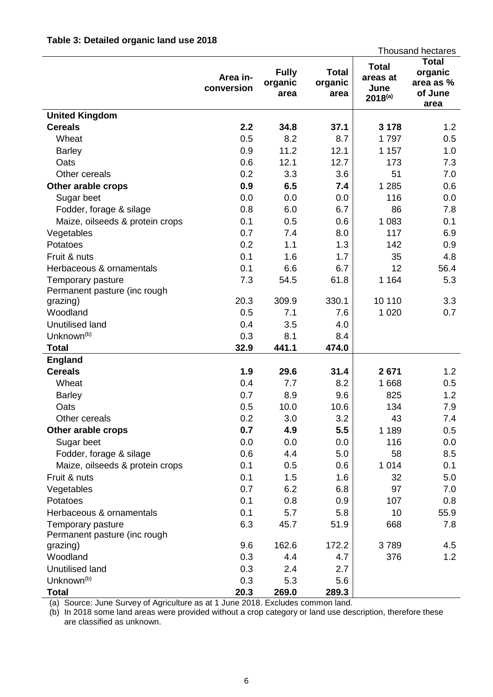## <span id="page-5-0"></span>**Table 3: Detailed organic land use 2018**

|                                                   |                        |                                 |                                 |                                                  | <b>Thousand hectares</b>                                |
|---------------------------------------------------|------------------------|---------------------------------|---------------------------------|--------------------------------------------------|---------------------------------------------------------|
|                                                   | Area in-<br>conversion | <b>Fully</b><br>organic<br>area | <b>Total</b><br>organic<br>area | <b>Total</b><br>areas at<br>June<br>$2018^{(a)}$ | <b>Total</b><br>organic<br>area as %<br>of June<br>area |
| <b>United Kingdom</b>                             |                        |                                 |                                 |                                                  |                                                         |
| <b>Cereals</b>                                    | 2.2                    | 34.8                            | 37.1                            | 3 1 7 8                                          | 1.2                                                     |
| Wheat                                             | 0.5                    | 8.2                             | 8.7                             | 1797                                             | 0.5                                                     |
| <b>Barley</b>                                     | 0.9                    | 11.2                            | 12.1                            | 1 157                                            | 1.0                                                     |
| Oats                                              | 0.6                    | 12.1                            | 12.7                            | 173                                              | 7.3                                                     |
| Other cereals                                     | 0.2                    | 3.3                             | 3.6                             | 51                                               | 7.0                                                     |
| Other arable crops                                | 0.9                    | 6.5                             | 7.4                             | 1 2 8 5                                          | 0.6                                                     |
| Sugar beet                                        | 0.0                    | 0.0                             | 0.0                             | 116                                              | 0.0                                                     |
| Fodder, forage & silage                           | 0.8                    | 6.0                             | 6.7                             | 86                                               | 7.8                                                     |
| Maize, oilseeds & protein crops                   | 0.1                    | 0.5                             | 0.6                             | 1 0 8 3                                          | 0.1                                                     |
| Vegetables                                        | 0.7                    | 7.4                             | 8.0                             | 117                                              | 6.9                                                     |
| Potatoes                                          | 0.2                    | 1.1                             | 1.3                             | 142                                              | 0.9                                                     |
| Fruit & nuts                                      | 0.1                    | 1.6                             | 1.7                             | 35                                               | 4.8                                                     |
| Herbaceous & ornamentals                          | 0.1                    | 6.6                             | 6.7                             | 12                                               | 56.4                                                    |
| Temporary pasture                                 | 7.3                    | 54.5                            | 61.8                            | 1 1 6 4                                          | 5.3                                                     |
| Permanent pasture (inc rough                      |                        |                                 |                                 |                                                  |                                                         |
| grazing)                                          | 20.3                   | 309.9                           | 330.1                           | 10 110                                           | 3.3                                                     |
| Woodland                                          | 0.5                    | 7.1                             | 7.6                             | 1 0 2 0                                          | 0.7                                                     |
| Unutilised land                                   | 0.4                    | 3.5                             | 4.0                             |                                                  |                                                         |
| Unknown <sup>(b)</sup>                            | 0.3                    | 8.1                             | 8.4                             |                                                  |                                                         |
| <b>Total</b>                                      | 32.9                   | 441.1                           | 474.0                           |                                                  |                                                         |
| <b>England</b>                                    | 1.9                    |                                 |                                 |                                                  |                                                         |
| <b>Cereals</b><br>Wheat                           |                        | 29.6                            | 31.4                            | 2671                                             | 1.2                                                     |
|                                                   | 0.4                    | 7.7                             | 8.2                             | 1 6 6 8                                          | 0.5                                                     |
| <b>Barley</b>                                     | 0.7                    | 8.9                             | 9.6                             | 825                                              | 1.2                                                     |
| Oats                                              | 0.5                    | 10.0                            | 10.6                            | 134                                              | 7.9                                                     |
| Other cereals                                     | 0.2                    | 3.0                             | 3.2                             | 43                                               | 7.4                                                     |
| Other arable crops                                | 0.7                    | 4.9                             | 5.5                             | 1 1 8 9                                          | 0.5                                                     |
| Sugar beet                                        | 0.0                    | 0.0                             | 0.0                             | 116                                              | 0.0                                                     |
| Fodder, forage & silage                           | 0.6                    | 4.4                             | 5.0                             | 58                                               | 8.5                                                     |
| Maize, oilseeds & protein crops                   | 0.1                    | 0.5                             | 0.6                             | 1 0 1 4                                          | 0.1                                                     |
| Fruit & nuts                                      | 0.1                    | 1.5                             | 1.6                             | 32                                               | 5.0                                                     |
| Vegetables                                        | 0.7                    | 6.2                             | 6.8                             | 97                                               | 7.0                                                     |
| Potatoes                                          | 0.1                    | 0.8                             | 0.9                             | 107                                              | 0.8                                                     |
| Herbaceous & ornamentals                          | 0.1                    | 5.7                             | 5.8                             | 10                                               | 55.9                                                    |
| Temporary pasture<br>Permanent pasture (inc rough | 6.3                    | 45.7                            | 51.9                            | 668                                              | 7.8                                                     |
| grazing)                                          | 9.6                    | 162.6                           | 172.2                           | 3789                                             | 4.5                                                     |
| Woodland                                          | 0.3                    | 4.4                             | 4.7                             | 376                                              | 1.2                                                     |
| Unutilised land                                   | 0.3                    | 2.4                             | 2.7                             |                                                  |                                                         |
| Unknown <sup>(b)</sup>                            | 0.3                    | 5.3                             | 5.6                             |                                                  |                                                         |
| <b>Total</b>                                      | 20.3                   | 269.0                           | 289.3                           |                                                  |                                                         |

(a) Source: June Survey of Agriculture as at 1 June 2018. Excludes common land.

(b) In 2018 some land areas were provided without a crop category or land use description, therefore these are classified as unknown.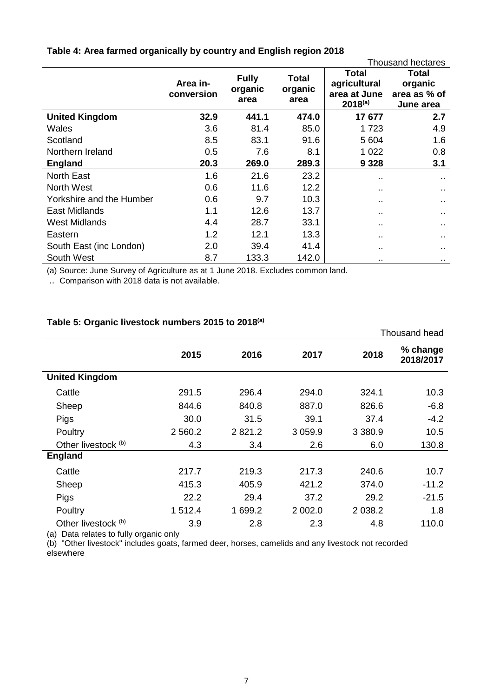|                          |                        |                                 |                                 |                                                       | <b>Thousand hectares</b>                             |
|--------------------------|------------------------|---------------------------------|---------------------------------|-------------------------------------------------------|------------------------------------------------------|
|                          | Area in-<br>conversion | <b>Fully</b><br>organic<br>area | <b>Total</b><br>organic<br>area | Total<br>agricultural<br>area at June<br>$2018^{(a)}$ | <b>Total</b><br>organic<br>area as % of<br>June area |
| <b>United Kingdom</b>    | 32.9                   | 441.1                           | 474.0                           | 17677                                                 | 2.7                                                  |
| Wales                    | 3.6                    | 81.4                            | 85.0                            | 1723                                                  | 4.9                                                  |
| Scotland                 | 8.5                    | 83.1                            | 91.6                            | 5 604                                                 | 1.6                                                  |
| Northern Ireland         | 0.5                    | 7.6                             | 8.1                             | 1 0 2 2                                               | 0.8                                                  |
| <b>England</b>           | 20.3                   | 269.0                           | 289.3                           | 9 3 2 8                                               | 3.1                                                  |
| <b>North East</b>        | 1.6                    | 21.6                            | 23.2                            | ٠.                                                    | $\sim$ $\sim$                                        |
| <b>North West</b>        | 0.6                    | 11.6                            | 12.2                            |                                                       |                                                      |
| Yorkshire and the Humber | 0.6                    | 9.7                             | 10.3                            | . .                                                   | $\sim$                                               |
| East Midlands            | 1.1                    | 12.6                            | 13.7                            | $\sim$                                                |                                                      |
| <b>West Midlands</b>     | 4.4                    | 28.7                            | 33.1                            |                                                       | . .                                                  |
| Eastern                  | 1.2                    | 12.1                            | 13.3                            |                                                       |                                                      |
| South East (inc London)  | 2.0                    | 39.4                            | 41.4                            | $\sim$                                                | $\sim$                                               |
| South West               | 8.7                    | 133.3                           | 142.0                           | $\cdot$ .                                             | $\sim$                                               |

## <span id="page-6-0"></span>**Table 4: Area farmed organically by country and English region 2018**

(a) Source: June Survey of Agriculture as at 1 June 2018. Excludes common land.

.. Comparison with 2018 data is not available.

## **Table 5: Organic livestock numbers 2015 to 2018(a)**

|                       |           |         |           |           | Thousand head         |
|-----------------------|-----------|---------|-----------|-----------|-----------------------|
|                       | 2015      | 2016    | 2017      | 2018      | % change<br>2018/2017 |
| <b>United Kingdom</b> |           |         |           |           |                       |
| Cattle                | 291.5     | 296.4   | 294.0     | 324.1     | 10.3                  |
| Sheep                 | 844.6     | 840.8   | 887.0     | 826.6     | $-6.8$                |
| Pigs                  | 30.0      | 31.5    | 39.1      | 37.4      | $-4.2$                |
| Poultry               | 2 5 6 0.2 | 2821.2  | 3 0 5 9.9 | 3 3 8 0.9 | 10.5                  |
| Other livestock (b)   | 4.3       | 3.4     | 2.6       | 6.0       | 130.8                 |
| <b>England</b>        |           |         |           |           |                       |
| Cattle                | 217.7     | 219.3   | 217.3     | 240.6     | 10.7                  |
| Sheep                 | 415.3     | 405.9   | 421.2     | 374.0     | $-11.2$               |
| Pigs                  | 22.2      | 29.4    | 37.2      | 29.2      | $-21.5$               |
| Poultry               | 1 512.4   | 1 699.2 | 2 002.0   | 2 0 38.2  | 1.8                   |
| Other livestock (b)   | 3.9       | 2.8     | 2.3       | 4.8       | 110.0                 |

(a) Data relates to fully organic only

<span id="page-6-1"></span>(b) "Other livestock" includes goats, farmed deer, horses, camelids and any livestock not recorded elsewhere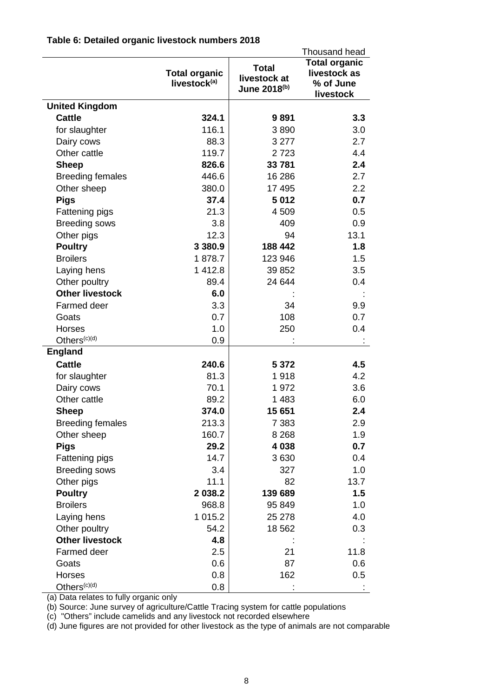|                          | Thousand head                                    |                                              |                                                                |
|--------------------------|--------------------------------------------------|----------------------------------------------|----------------------------------------------------------------|
|                          | <b>Total organic</b><br>livestock <sup>(a)</sup> | <b>Total</b><br>livestock at<br>June 2018(b) | <b>Total organic</b><br>livestock as<br>% of June<br>livestock |
| <b>United Kingdom</b>    |                                                  |                                              |                                                                |
| <b>Cattle</b>            | 324.1                                            | 9891                                         | 3.3                                                            |
| for slaughter            | 116.1                                            | 3890                                         | 3.0                                                            |
| Dairy cows               | 88.3                                             | 3 2 7 7                                      | 2.7                                                            |
| Other cattle             | 119.7                                            | 2723                                         | 4.4                                                            |
| <b>Sheep</b>             | 826.6                                            | 33 781                                       | 2.4                                                            |
| <b>Breeding females</b>  | 446.6                                            | 16 286                                       | 2.7                                                            |
| Other sheep              | 380.0                                            | 17 495                                       | 2.2                                                            |
| <b>Pigs</b>              | 37.4                                             | 5 0 1 2                                      | 0.7                                                            |
| Fattening pigs           | 21.3                                             | 4509                                         | 0.5                                                            |
| <b>Breeding sows</b>     | 3.8                                              | 409                                          | 0.9                                                            |
| Other pigs               | 12.3                                             | 94                                           | 13.1                                                           |
| <b>Poultry</b>           | 3 3 8 0.9                                        | 188 442                                      | 1.8                                                            |
| <b>Broilers</b>          | 1878.7                                           | 123 946                                      | 1.5                                                            |
| Laying hens              | 1 412.8                                          | 39 852                                       | 3.5                                                            |
| Other poultry            | 89.4                                             | 24 644                                       | 0.4                                                            |
| <b>Other livestock</b>   | 6.0                                              |                                              |                                                                |
| Farmed deer              | 3.3                                              | 34                                           | 9.9                                                            |
| Goats                    | 0.7                                              | 108                                          | 0.7                                                            |
| Horses                   | 1.0                                              | 250                                          | 0.4                                                            |
| Others <sup>(c)(d)</sup> | 0.9                                              |                                              |                                                                |
| <b>England</b>           |                                                  |                                              |                                                                |
| <b>Cattle</b>            | 240.6                                            | 5 3 7 2                                      | 4.5                                                            |
| for slaughter            | 81.3                                             | 1918                                         | 4.2                                                            |
| Dairy cows               | 70.1                                             | 1972                                         | 3.6                                                            |
| Other cattle             | 89.2                                             | 1 4 8 3                                      | 6.0                                                            |
| <b>Sheep</b>             | 374.0                                            | 15 651                                       | 2.4                                                            |
| <b>Breeding females</b>  | 213.3                                            | 7 3 8 3                                      | 2.9                                                            |
| Other sheep              | 160.7                                            | 8 2 6 8                                      | 1.9                                                            |
| <b>Pigs</b>              | 29.2                                             | 4 0 38                                       | 0.7                                                            |
| Fattening pigs           | 14.7                                             | 3630                                         | 0.4                                                            |
| <b>Breeding sows</b>     | 3.4                                              | 327                                          | 1.0                                                            |
| Other pigs               | 11.1                                             | 82                                           | 13.7                                                           |
| <b>Poultry</b>           | 2 038.2                                          | 139 689                                      | 1.5                                                            |
| <b>Broilers</b>          | 968.8                                            | 95 849                                       | 1.0                                                            |
| Laying hens              | 1 0 1 5.2                                        | 25 278                                       | 4.0                                                            |
| Other poultry            | 54.2                                             | 18 562                                       | 0.3                                                            |
| <b>Other livestock</b>   | 4.8                                              |                                              |                                                                |
| Farmed deer              | 2.5                                              | 21                                           | 11.8                                                           |
| Goats                    | 0.6                                              | 87                                           | 0.6                                                            |
| Horses                   | 0.8                                              | 162                                          | 0.5                                                            |
| Others <sup>(c)(d)</sup> | 0.8                                              |                                              |                                                                |

## **Table 6: Detailed organic livestock numbers 2018**

(a) Data relates to fully organic only

(b) Source: June survey of agriculture/Cattle Tracing system for cattle populations

(c) "Others" include camelids and any livestock not recorded elsewhere

(d) June figures are not provided for other livestock as the type of animals are not comparable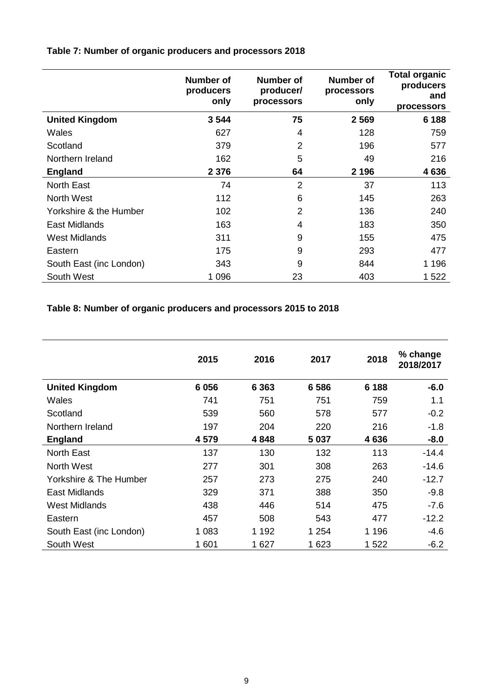## <span id="page-8-0"></span>**Table 7: Number of organic producers and processors 2018**

|                         | <b>Number of</b><br>producers<br>only | Number of<br>producer/<br>processors | <b>Number of</b><br>processors<br>only | <b>Total organic</b><br>producers<br>and<br>processors |
|-------------------------|---------------------------------------|--------------------------------------|----------------------------------------|--------------------------------------------------------|
| <b>United Kingdom</b>   | 3544                                  | 75                                   | 2 5 6 9                                | 6 188                                                  |
| Wales                   | 627                                   | 4                                    | 128                                    | 759                                                    |
| Scotland                | 379                                   | $\overline{2}$                       | 196                                    | 577                                                    |
| Northern Ireland        | 162                                   | 5                                    | 49                                     | 216                                                    |
| <b>England</b>          | 2 3 7 6                               | 64                                   | 2 1 9 6                                | 4636                                                   |
| <b>North East</b>       | 74                                    | $\overline{2}$                       | 37                                     | 113                                                    |
| North West              | 112                                   | 6                                    | 145                                    | 263                                                    |
| Yorkshire & the Humber  | 102                                   | $\overline{2}$                       | 136                                    | 240                                                    |
| East Midlands           | 163                                   | 4                                    | 183                                    | 350                                                    |
| West Midlands           | 311                                   | 9                                    | 155                                    | 475                                                    |
| Eastern                 | 175                                   | 9                                    | 293                                    | 477                                                    |
| South East (inc London) | 343                                   | 9                                    | 844                                    | 1 1 9 6                                                |
| South West              | 1 0 9 6                               | 23                                   | 403                                    | 1 522                                                  |

## **Table 8: Number of organic producers and processors 2015 to 2018**

|                         | 2015    | 2016    | 2017    | 2018    | % change<br>2018/2017 |
|-------------------------|---------|---------|---------|---------|-----------------------|
| <b>United Kingdom</b>   | 6 0 5 6 | 6 3 6 3 | 6586    | 6 188   | $-6.0$                |
| Wales                   | 741     | 751     | 751     | 759     | 1.1                   |
| Scotland                | 539     | 560     | 578     | 577     | $-0.2$                |
| Northern Ireland        | 197     | 204     | 220     | 216     | $-1.8$                |
| <b>England</b>          | 4579    | 4848    | 5 0 3 7 | 4636    | $-8.0$                |
| <b>North East</b>       | 137     | 130     | 132     | 113     | $-14.4$               |
| North West              | 277     | 301     | 308     | 263     | $-14.6$               |
| Yorkshire & The Humber  | 257     | 273     | 275     | 240     | $-12.7$               |
| <b>East Midlands</b>    | 329     | 371     | 388     | 350     | $-9.8$                |
| West Midlands           | 438     | 446     | 514     | 475     | $-7.6$                |
| Eastern                 | 457     | 508     | 543     | 477     | $-12.2$               |
| South East (inc London) | 1 0 8 3 | 1 1 9 2 | 1 254   | 1 1 9 6 | $-4.6$                |
| South West              | 1 601   | 1 6 2 7 | 1 623   | 1 5 2 2 | $-6.2$                |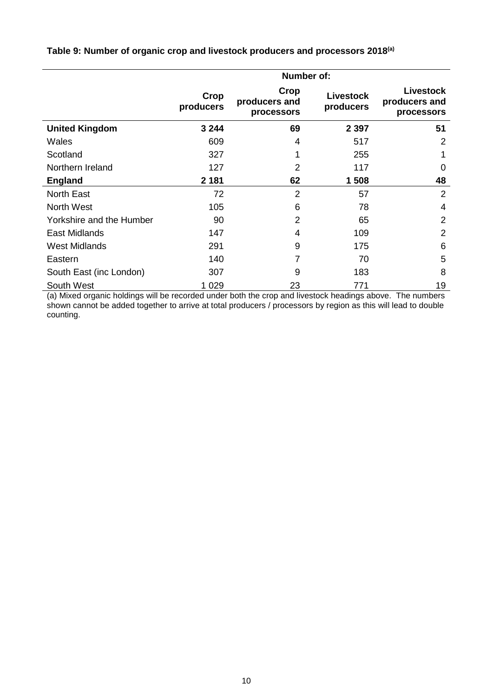|                          | Number of:        |                                     |                               |                                          |  |
|--------------------------|-------------------|-------------------------------------|-------------------------------|------------------------------------------|--|
|                          | Crop<br>producers | Crop<br>producers and<br>processors | <b>Livestock</b><br>producers | Livestock<br>producers and<br>processors |  |
| <b>United Kingdom</b>    | 3 2 4 4           | 69                                  | 2 3 9 7                       | 51                                       |  |
| Wales                    | 609               | 4                                   | 517                           | 2                                        |  |
| Scotland                 | 327               | 1                                   | 255                           | 1                                        |  |
| Northern Ireland         | 127               | $\overline{2}$                      | 117                           | 0                                        |  |
| <b>England</b>           | 2 1 8 1           | 62                                  | 1 508                         | 48                                       |  |
| North East               | 72                | 2                                   | 57                            | $\overline{2}$                           |  |
| <b>North West</b>        | 105               | 6                                   | 78                            | 4                                        |  |
| Yorkshire and the Humber | 90                | 2                                   | 65                            | $\overline{2}$                           |  |
| East Midlands            | 147               | 4                                   | 109                           | 2                                        |  |
| <b>West Midlands</b>     | 291               | 9                                   | 175                           | 6                                        |  |
| Eastern                  | 140               | 7                                   | 70                            | 5                                        |  |
| South East (inc London)  | 307               | 9                                   | 183                           | 8                                        |  |
| South West               | 1 0 2 9           | 23                                  | 771                           | 19                                       |  |

**Table 9: Number of organic crop and livestock producers and processors 2018(a)**

(a) Mixed organic holdings will be recorded under both the crop and livestock headings above. The numbers shown cannot be added together to arrive at total producers / processors by region as this will lead to double counting.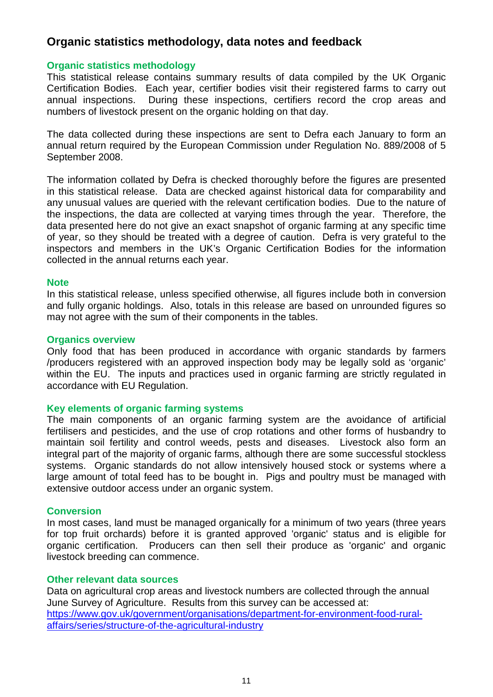## **Organic statistics methodology, data notes and feedback**

## **Organic statistics methodology**

This statistical release contains summary results of data compiled by the UK Organic Certification Bodies. Each year, certifier bodies visit their registered farms to carry out annual inspections. During these inspections, certifiers record the crop areas and numbers of livestock present on the organic holding on that day.

The data collected during these inspections are sent to Defra each January to form an annual return required by the European Commission under Regulation No. 889/2008 of 5 September 2008.

The information collated by Defra is checked thoroughly before the figures are presented in this statistical release. Data are checked against historical data for comparability and any unusual values are queried with the relevant certification bodies. Due to the nature of the inspections, the data are collected at varying times through the year. Therefore, the data presented here do not give an exact snapshot of organic farming at any specific time of year, so they should be treated with a degree of caution. Defra is very grateful to the inspectors and members in the UK's Organic Certification Bodies for the information collected in the annual returns each year.

#### **Note**

In this statistical release, unless specified otherwise, all figures include both in conversion and fully organic holdings. Also, totals in this release are based on unrounded figures so may not agree with the sum of their components in the tables.

#### **Organics overview**

Only food that has been produced in accordance with organic standards by farmers /producers registered with an approved inspection body may be legally sold as 'organic' within the EU. The inputs and practices used in organic farming are strictly regulated in accordance with EU Regulation.

#### **Key elements of organic farming systems**

The main components of an organic farming system are the avoidance of artificial fertilisers and pesticides, and the use of crop rotations and other forms of husbandry to maintain soil fertility and control weeds, pests and diseases. Livestock also form an integral part of the majority of organic farms, although there are some successful stockless systems. Organic standards do not allow intensively housed stock or systems where a large amount of total feed has to be bought in. Pigs and poultry must be managed with extensive outdoor access under an organic system.

#### **Conversion**

In most cases, land must be managed organically for a minimum of two years (three years for top fruit orchards) before it is granted approved 'organic' status and is eligible for organic certification. Producers can then sell their produce as 'organic' and organic livestock breeding can commence.

#### **Other relevant data sources**

Data on agricultural crop areas and livestock numbers are collected through the annual June Survey of Agriculture. Results from this survey can be accessed at: [https://www.gov.uk/government/organisations/department-for-environment-food-rural](https://www.gov.uk/government/organisations/department-for-environment-food-rural-affairs/series/structure-of-the-agricultural-industry)[affairs/series/structure-of-the-agricultural-industry](https://www.gov.uk/government/organisations/department-for-environment-food-rural-affairs/series/structure-of-the-agricultural-industry)